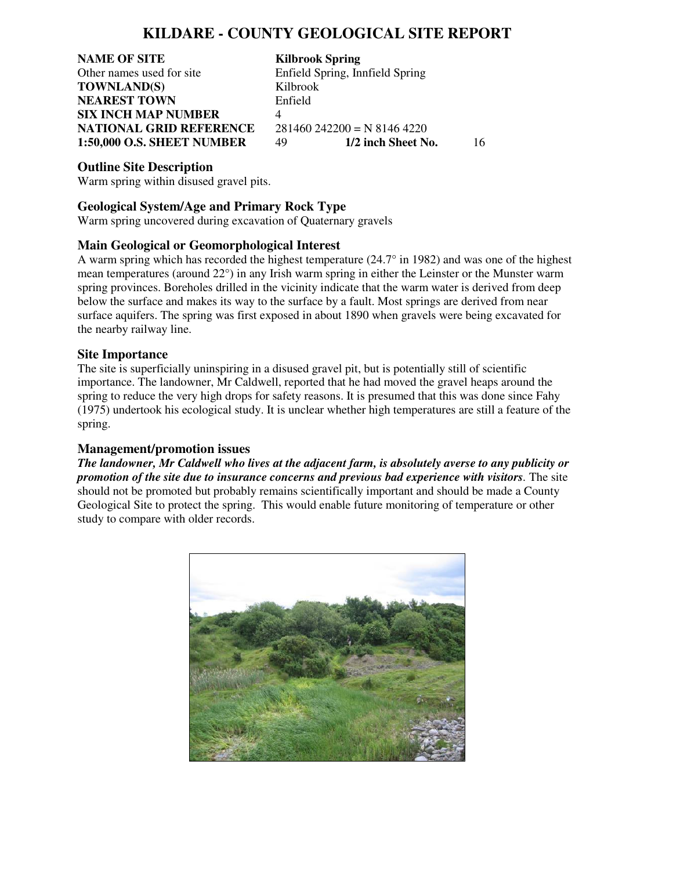## **KILDARE - COUNTY GEOLOGICAL SITE REPORT**

**NAME OF SITE Kilbrook Spring** Other names used for site Enfield Spring, Innfield Spring **TOWNLAND(S)** Kilbrook **NEAREST TOWN** Enfield **SIX INCH MAP NUMBER** 4 **NATIONAL GRID REFERENCE** 281460 242200 = N 8146 4220

**1:50,000 O.S. SHEET NUMBER** 49 **1/2 inch Sheet No.** 16

#### **Outline Site Description**

Warm spring within disused gravel pits.

### **Geological System/Age and Primary Rock Type**

Warm spring uncovered during excavation of Quaternary gravels

#### **Main Geological or Geomorphological Interest**

A warm spring which has recorded the highest temperature (24.7° in 1982) and was one of the highest mean temperatures (around 22°) in any Irish warm spring in either the Leinster or the Munster warm spring provinces. Boreholes drilled in the vicinity indicate that the warm water is derived from deep below the surface and makes its way to the surface by a fault. Most springs are derived from near surface aquifers. The spring was first exposed in about 1890 when gravels were being excavated for the nearby railway line.

#### **Site Importance**

The site is superficially uninspiring in a disused gravel pit, but is potentially still of scientific importance. The landowner, Mr Caldwell, reported that he had moved the gravel heaps around the spring to reduce the very high drops for safety reasons. It is presumed that this was done since Fahy (1975) undertook his ecological study. It is unclear whether high temperatures are still a feature of the spring.

#### **Management/promotion issues**

*The landowner, Mr Caldwell who lives at the adjacent farm, is absolutely averse to any publicity or promotion of the site due to insurance concerns and previous bad experience with visitors.* The site should not be promoted but probably remains scientifically important and should be made a County Geological Site to protect the spring. This would enable future monitoring of temperature or other study to compare with older records.